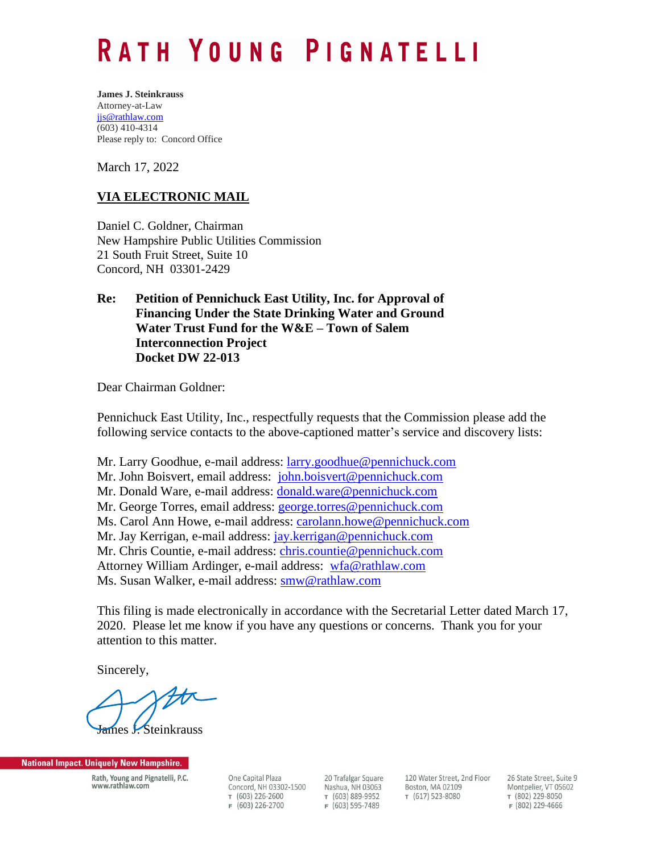## RATH YOUNG PIGNATELLI

**James J. Steinkrauss** Attorney-at-Law [jjs@rathlaw.com](mailto:jjs@rathlaw.com) (603) 410-4314 Please reply to: Concord Office

March 17, 2022

## **VIA ELECTRONIC MAIL**

Daniel C. Goldner, Chairman New Hampshire Public Utilities Commission 21 South Fruit Street, Suite 10 Concord, NH 03301-2429

## **Re: Petition of Pennichuck East Utility, Inc. for Approval of Financing Under the State Drinking Water and Ground Water Trust Fund for the W&E – Town of Salem Interconnection Project Docket DW 22-013**

Dear Chairman Goldner:

Pennichuck East Utility, Inc., respectfully requests that the Commission please add the following service contacts to the above-captioned matter's service and discovery lists:

Mr. Larry Goodhue, e-mail address: [larry.goodhue@pennichuck.com](mailto:larry.goodhue@pennichuck.com) Mr. John Boisvert, email address: [john.boisvert@pennichuck.com](mailto:john.boisvert@pennichuck.com) Mr. Donald Ware, e-mail address: [donald.ware@pennichuck.com](mailto:donald.ware@pennichuck.com) Mr. George Torres, email address: [george.torres@pennichuck.com](mailto:george.torres@pennichuck.com) Ms. Carol Ann Howe, e-mail address: [carolann.howe@pennichuck.com](mailto:carolann.howe@pennichuck.com) Mr. Jay Kerrigan, e-mail address: [jay.kerrigan@pennichuck.com](mailto:jay.kerrigan@pennichuck.com) Mr. Chris Countie, e-mail address: [chris.countie@pennichuck.com](mailto:chris.countie@pennichuck.com) Attorney William Ardinger, e-mail address: [wfa@rathlaw.com](mailto:wfa@rathlaw.com) Ms. Susan Walker, e-mail address: [smw@rathlaw.com](mailto:smw@rathlaw.com)

This filing is made electronically in accordance with the Secretarial Letter dated March 17, 2020. Please let me know if you have any questions or concerns. Thank you for your attention to this matter.

Sincerely,

nes J. Steinkrauss

**National Impact. Uniquely New Hampshire.** 

Rath, Young and Pignatelli, P.C. www.rathlaw.com

One Capital Plaza Concord, NH 03302-1500 т (603) 226-2600  $F(603) 226-2700$ 

20 Trafalgar Square Nashua, NH 03063 т (603) 889-9952  $F(603)$  595-7489

120 Water Street, 2nd Floor Boston, MA 02109 т (617) 523-8080

26 State Street. Suite 9 Montpelier, VT 05602 т (802) 229-8050 F (802) 229-4666